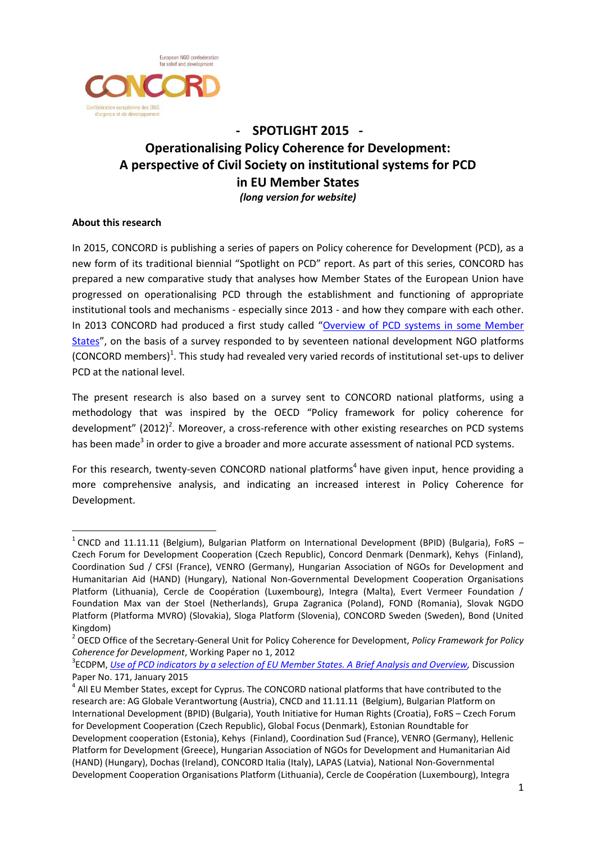

## **- SPOTLIGHT 2015 - Operationalising Policy Coherence for Development: A perspective of Civil Society on institutional systems for PCD in EU Member States** *(long version for website)*

## **About this research**

1

In 2015, CONCORD is publishing a series of papers on Policy coherence for Development (PCD), as a new form of its traditional biennial "Spotlight on PCD" report. As part of this series, CONCORD has prepared a new comparative study that analyses how Member States of the European Union have progressed on operationalising PCD through the establishment and functioning of appropriate institutional tools and mechanisms - especially since 2013 - and how they compare with each other. In 2013 CONCORD had produced a first study called "[Overview of PCD systems in some Member](http://www.concordeurope.org/coherent-policies/pcd-in-the-eu/item/423-overview-of-pcd-systems-in-some-eu-member-states-2013)  [States](http://www.concordeurope.org/coherent-policies/pcd-in-the-eu/item/423-overview-of-pcd-systems-in-some-eu-member-states-2013)", on the basis of a survey responded to by seventeen national development NGO platforms  $(CONCORD$  members $)^1$ . This study had revealed very varied records of institutional set-ups to deliver PCD at the national level.

The present research is also based on a survey sent to CONCORD national platforms, using a methodology that was inspired by the OECD "Policy framework for policy coherence for development"  $(2012)^2$ . Moreover, a cross-reference with other existing researches on PCD systems has been made<sup>3</sup> in order to give a broader and more accurate assessment of national PCD systems.

For this research, twenty-seven CONCORD national platforms<sup>4</sup> have given input, hence providing a more comprehensive analysis, and indicating an increased interest in Policy Coherence for Development.

<sup>&</sup>lt;sup>1</sup> CNCD and 11.11.11 (Belgium), Bulgarian Platform on International Development (BPID) (Bulgaria), FoRS -Czech Forum for Development Cooperation (Czech Republic), Concord Denmark (Denmark), Kehys (Finland), Coordination Sud / CFSI (France), VENRO (Germany), Hungarian Association of NGOs for Development and Humanitarian Aid (HAND) (Hungary), National Non-Governmental Development Cooperation Organisations Platform (Lithuania), Cercle de Coopération (Luxembourg), Integra (Malta), Evert Vermeer Foundation / Foundation Max van der Stoel (Netherlands), Grupa Zagranica (Poland), FOND (Romania), Slovak NGDO Platform (Platforma MVRO) (Slovakia), Sloga Platform (Slovenia), CONCORD Sweden (Sweden), Bond (United Kingdom)

<sup>2</sup> OECD Office of the Secretary-General Unit for Policy Coherence for Development, *Policy Framework for Policy Coherence for Development*, Working Paper no 1, 2012

<sup>3</sup> ECDPM, *[Use of PCD indicators by a selection of EU Member States. A Brief Analysis and Overview,](http://ecdpm.org/publications/policy-coherence-indicators-eu/)* Discussion Paper No. 171, January 2015

 $<sup>4</sup>$  All EU Member States, except for Cyprus. The CONCORD national platforms that have contributed to the</sup> research are: AG Globale Verantwortung (Austria), CNCD and 11.11.11 (Belgium), Bulgarian Platform on International Development (BPID) (Bulgaria), Youth Initiative for Human Rights (Croatia), FoRS – Czech Forum for Development Cooperation (Czech Republic), Global Focus (Denmark), Estonian Roundtable for Development cooperation (Estonia), Kehys (Finland), Coordination Sud (France), VENRO (Germany), Hellenic Platform for Development (Greece), Hungarian Association of NGOs for Development and Humanitarian Aid (HAND) (Hungary), Dochas (Ireland), CONCORD Italia (Italy), LAPAS (Latvia), National Non-Governmental Development Cooperation Organisations Platform (Lithuania), Cercle de Coopération (Luxembourg), Integra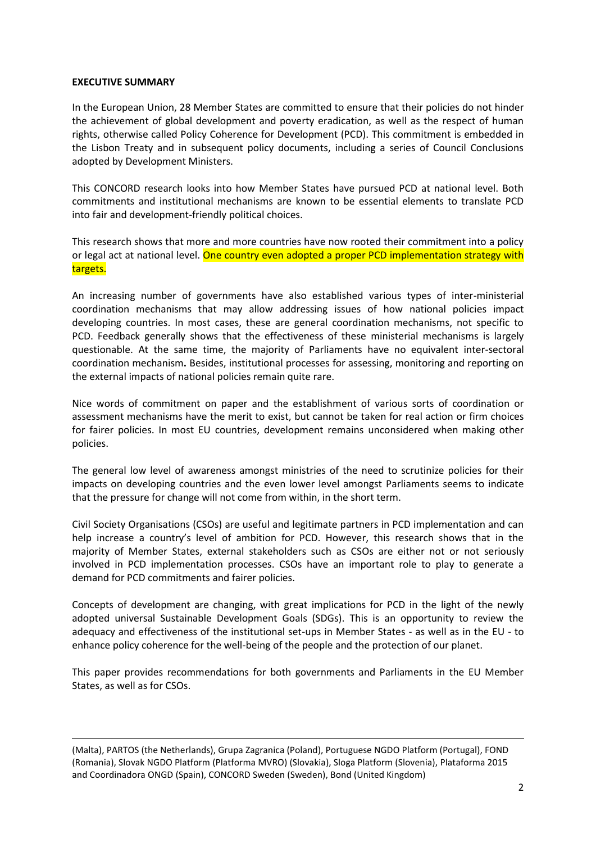#### **EXECUTIVE SUMMARY**

**.** 

In the European Union, 28 Member States are committed to ensure that their policies do not hinder the achievement of global development and poverty eradication, as well as the respect of human rights, otherwise called Policy Coherence for Development (PCD). This commitment is embedded in the Lisbon Treaty and in subsequent policy documents, including a series of Council Conclusions adopted by Development Ministers.

This CONCORD research looks into how Member States have pursued PCD at national level. Both commitments and institutional mechanisms are known to be essential elements to translate PCD into fair and development-friendly political choices.

This research shows that more and more countries have now rooted their commitment into a policy or legal act at national level. One country even adopted a proper PCD implementation strategy with targets.

An increasing number of governments have also established various types of inter-ministerial coordination mechanisms that may allow addressing issues of how national policies impact developing countries. In most cases, these are general coordination mechanisms, not specific to PCD. Feedback generally shows that the effectiveness of these ministerial mechanisms is largely questionable. At the same time, the majority of Parliaments have no equivalent inter-sectoral coordination mechanism**.** Besides, institutional processes for assessing, monitoring and reporting on the external impacts of national policies remain quite rare.

Nice words of commitment on paper and the establishment of various sorts of coordination or assessment mechanisms have the merit to exist, but cannot be taken for real action or firm choices for fairer policies. In most EU countries, development remains unconsidered when making other policies.

The general low level of awareness amongst ministries of the need to scrutinize policies for their impacts on developing countries and the even lower level amongst Parliaments seems to indicate that the pressure for change will not come from within, in the short term.

Civil Society Organisations (CSOs) are useful and legitimate partners in PCD implementation and can help increase a country's level of ambition for PCD. However, this research shows that in the majority of Member States, external stakeholders such as CSOs are either not or not seriously involved in PCD implementation processes. CSOs have an important role to play to generate a demand for PCD commitments and fairer policies.

Concepts of development are changing, with great implications for PCD in the light of the newly adopted universal Sustainable Development Goals (SDGs). This is an opportunity to review the adequacy and effectiveness of the institutional set-ups in Member States - as well as in the EU - to enhance policy coherence for the well-being of the people and the protection of our planet.

This paper provides recommendations for both governments and Parliaments in the EU Member States, as well as for CSOs.

<sup>(</sup>Malta), PARTOS (the Netherlands), Grupa Zagranica (Poland), Portuguese NGDO Platform (Portugal), FOND (Romania), Slovak NGDO Platform (Platforma MVRO) (Slovakia), Sloga Platform (Slovenia), Plataforma 2015 and Coordinadora ONGD (Spain), CONCORD Sweden (Sweden), Bond (United Kingdom)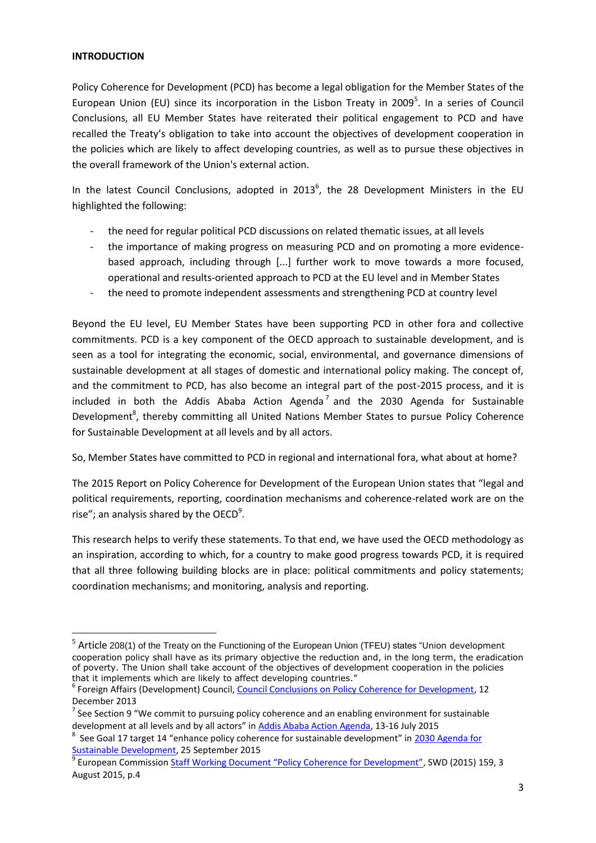#### **INTRODUCTION**

1

Policy Coherence for Development (PCD) has become a legal obligation for the Member States of the European Union (EU) since its incorporation in the Lisbon Treaty in 2009<sup>5</sup>. In a series of Council Conclusions, all EU Member States have reiterated their political engagement to PCD and have recalled the Treaty's obligation to take into account the objectives of development cooperation in the policies which are likely to affect developing countries, as well as to pursue these objectives in the overall framework of the Union's external action.

In the latest Council Conclusions, adopted in  $2013^6$ , the 28 Development Ministers in the EU highlighted the following:

- the need for regular political PCD discussions on related thematic issues, at all levels
- the importance of making progress on measuring PCD and on promoting a more evidencebased approach, including through [...] further work to move towards a more focused, operational and results-oriented approach to PCD at the EU level and in Member States
- the need to promote independent assessments and strengthening PCD at country level

Beyond the EU level, EU Member States have been supporting PCD in other fora and collective commitments. PCD is a key component of the OECD approach to sustainable development, and is seen as a tool for integrating the economic, social, environmental, and governance dimensions of sustainable development at all stages of domestic and international policy making. The concept of, and the commitment to PCD, has also become an integral part of the post-2015 process, and it is included in both the Addis Ababa Action Agenda<sup>7</sup> and the 2030 Agenda for Sustainable Development<sup>8</sup>, thereby committing all United Nations Member States to pursue Policy Coherence for Sustainable Development at all levels and by all actors.

So, Member States have committed to PCD in regional and international fora, what about at home?

The 2015 Report on Policy Coherence for Development of the European Union states that "legal and political requirements, reporting, coordination mechanisms and coherence-related work are on the rise"; an analysis shared by the OECD $9$ .

This research helps to verify these statements. To that end, we have used the OECD methodology as an inspiration, according to which, for a country to make good progress towards PCD, it is required that all three following building blocks are in place: political commitments and policy statements; coordination mechanisms; and monitoring, analysis and reporting.

<sup>&</sup>lt;sup>5</sup> Article 208(1) of the Treaty on the Functioning of the European Union (TFEU) states "Union development cooperation policy shall have as its primary objective the reduction and, in the long term, the eradication of poverty. The Union shall take account of the objectives of development cooperation in the policies that it implements which are likely to affect developing countries."

<sup>&</sup>lt;sup>6</sup> Foreign Affairs (Development) Council, [Council Conclusions on Policy Coherence for Development,](http://www.consilium.europa.eu/uedocs/cms_data/docs/pressdata/EN/foraff/140063.pdf) 12 December 2013

<sup>&</sup>lt;sup>7</sup> See Section 9 "We commit to pursuing policy coherence and an enabling environment for sustainable development at all levels and by all actors" in [Addis Ababa Action Agenda,](http://daccess-dds-ny.un.org/doc/UNDOC/GEN/N15/219/91/PDF/N1521991.pdf?OpenElement) 13-16 July 2015

<sup>&</sup>lt;sup>8</sup> See Goal 17 target 14 "enhance policy coherence for sustainable development" in 2030 Agenda for [Sustainable Development,](https://sustainabledevelopment.un.org/post2015/transformingourworld) 25 September 2015

<sup>&</sup>lt;sup>9</sup> European Commission [Staff Working Document "Policy Coherence for Development"](https://ec.europa.eu/europeaid/sites/devco/files/policy-coherence-for-development-2015-eu-report_en.pdf), SWD (2015) 159, 3 August 2015, p.4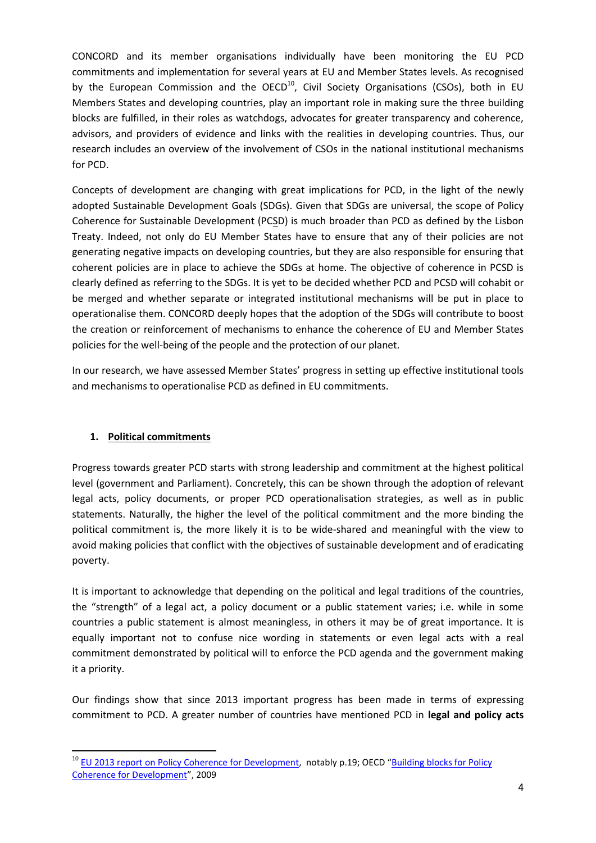CONCORD and its member organisations individually have been monitoring the EU PCD commitments and implementation for several years at EU and Member States levels. As recognised by the European Commission and the OECD<sup>10</sup>, Civil Society Organisations (CSOs), both in EU Members States and developing countries, play an important role in making sure the three building blocks are fulfilled, in their roles as watchdogs, advocates for greater transparency and coherence, advisors, and providers of evidence and links with the realities in developing countries. Thus, our research includes an overview of the involvement of CSOs in the national institutional mechanisms for PCD.

Concepts of development are changing with great implications for PCD, in the light of the newly adopted Sustainable Development Goals (SDGs). Given that SDGs are universal, the scope of Policy Coherence for Sustainable Development (PCSD) is much broader than PCD as defined by the Lisbon Treaty. Indeed, not only do EU Member States have to ensure that any of their policies are not generating negative impacts on developing countries, but they are also responsible for ensuring that coherent policies are in place to achieve the SDGs at home. The objective of coherence in PCSD is clearly defined as referring to the SDGs. It is yet to be decided whether PCD and PCSD will cohabit or be merged and whether separate or integrated institutional mechanisms will be put in place to operationalise them. CONCORD deeply hopes that the adoption of the SDGs will contribute to boost the creation or reinforcement of mechanisms to enhance the coherence of EU and Member States policies for the well-being of the people and the protection of our planet.

In our research, we have assessed Member States' progress in setting up effective institutional tools and mechanisms to operationalise PCD as defined in EU commitments.

## **1. Political commitments**

1

Progress towards greater PCD starts with strong leadership and commitment at the highest political level (government and Parliament). Concretely, this can be shown through the adoption of relevant legal acts, policy documents, or proper PCD operationalisation strategies, as well as in public statements. Naturally, the higher the level of the political commitment and the more binding the political commitment is, the more likely it is to be wide-shared and meaningful with the view to avoid making policies that conflict with the objectives of sustainable development and of eradicating poverty.

It is important to acknowledge that depending on the political and legal traditions of the countries, the "strength" of a legal act, a policy document or a public statement varies; i.e. while in some countries a public statement is almost meaningless, in others it may be of great importance. It is equally important not to confuse nice wording in statements or even legal acts with a real commitment demonstrated by political will to enforce the PCD agenda and the government making it a priority.

Our findings show that since 2013 important progress has been made in terms of expressing commitment to PCD. A greater number of countries have mentioned PCD in **legal and policy acts**

<sup>&</sup>lt;sup>10</sup> EU 2013 report on [Policy Coherence for Development,](https://ec.europa.eu/europeaid/sites/devco/files/pcd-report-2013_en.pdf) notably p.19; OECD "Building blocks for Policy [Coherence for Development](http://www.oecd.org/pcd/44704030.pdf)", 2009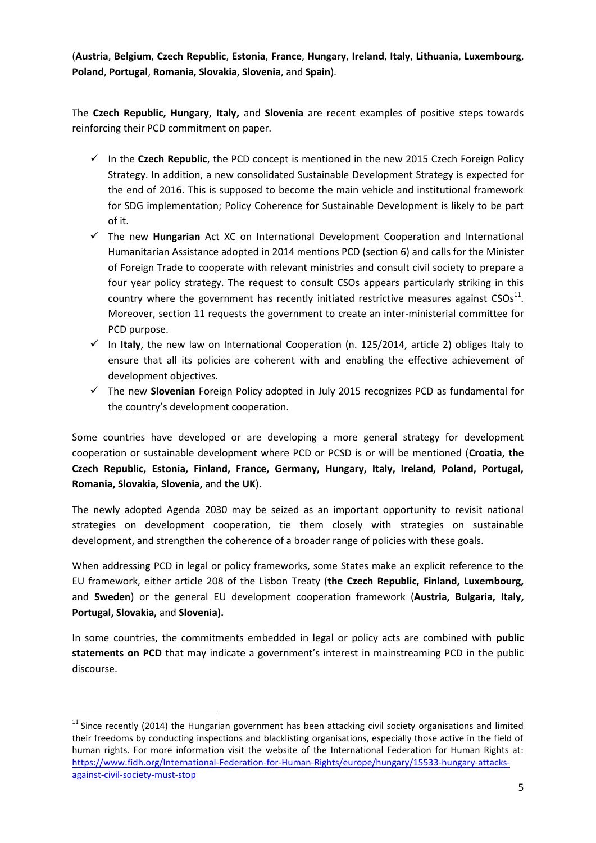(**Austria**, **Belgium**, **Czech Republic**, **Estonia**, **France**, **Hungary**, **Ireland**, **Italy**, **Lithuania**, **Luxembourg**, **Poland**, **Portugal**, **Romania, Slovakia**, **Slovenia**, and **Spain**).

The **Czech Republic, Hungary, Italy,** and **Slovenia** are recent examples of positive steps towards reinforcing their PCD commitment on paper.

- $\checkmark$  In the **Czech Republic**, the PCD concept is mentioned in the new 2015 Czech Foreign Policy Strategy. In addition, a new consolidated Sustainable Development Strategy is expected for the end of 2016. This is supposed to become the main vehicle and institutional framework for SDG implementation; Policy Coherence for Sustainable Development is likely to be part of it.
- The new **Hungarian** Act XC on International Development Cooperation and International Humanitarian Assistance adopted in 2014 mentions PCD (section 6) and calls for the Minister of Foreign Trade to cooperate with relevant ministries and consult civil society to prepare a four year policy strategy. The request to consult CSOs appears particularly striking in this country where the government has recently initiated restrictive measures against  $CSOs<sup>11</sup>$ . Moreover, section 11 requests the government to create an inter-ministerial committee for PCD purpose.
- $\checkmark$  In Italy, the new law on International Cooperation (n. 125/2014, article 2) obliges Italy to ensure that all its policies are coherent with and enabling the effective achievement of development objectives.
- The new **Slovenian** Foreign Policy adopted in July 2015 recognizes PCD as fundamental for the country's development cooperation.

Some countries have developed or are developing a more general strategy for development cooperation or sustainable development where PCD or PCSD is or will be mentioned (**Croatia, the Czech Republic, Estonia, Finland, France, Germany, Hungary, Italy, Ireland, Poland, Portugal, Romania, Slovakia, Slovenia,** and **the UK**).

The newly adopted Agenda 2030 may be seized as an important opportunity to revisit national strategies on development cooperation, tie them closely with strategies on sustainable development, and strengthen the coherence of a broader range of policies with these goals.

When addressing PCD in legal or policy frameworks, some States make an explicit reference to the EU framework, either article 208 of the Lisbon Treaty (**the Czech Republic, Finland, Luxembourg,**  and **Sweden**) or the general EU development cooperation framework (**Austria, Bulgaria, Italy, Portugal, Slovakia,** and **Slovenia).**

In some countries, the commitments embedded in legal or policy acts are combined with **public statements on PCD** that may indicate a government's interest in mainstreaming PCD in the public discourse.

**.** 

 $11$  Since recently (2014) the Hungarian government has been attacking civil society organisations and limited their freedoms by conducting inspections and blacklisting organisations, especially those active in the field of human rights. For more information visit the website of the International Federation for Human Rights at: [https://www.fidh.org/International-Federation-for-Human-Rights/europe/hungary/15533-hungary-attacks](https://www.fidh.org/International-Federation-for-Human-Rights/europe/hungary/15533-hungary-attacks-against-civil-society-must-stop)[against-civil-society-must-stop](https://www.fidh.org/International-Federation-for-Human-Rights/europe/hungary/15533-hungary-attacks-against-civil-society-must-stop)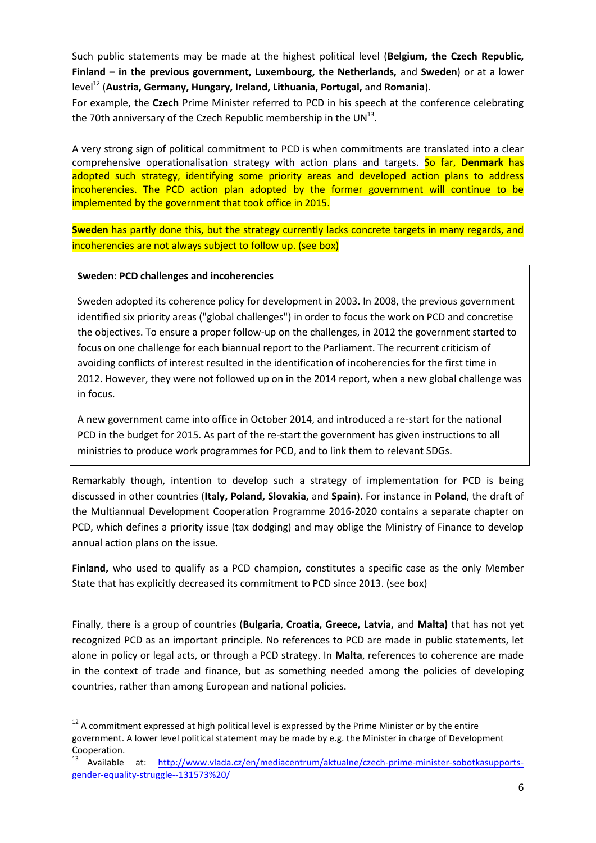Such public statements may be made at the highest political level (**Belgium, the Czech Republic, Finland – in the previous government, Luxembourg, the Netherlands,** and **Sweden**) or at a lower level<sup>12</sup> (**Austria, Germany, Hungary, Ireland, Lithuania, Portugal,** and **Romania**).

For example, the **Czech** Prime Minister referred to PCD in his speech at the conference celebrating the 70th anniversary of the Czech Republic membership in the UN $^{13}$ .

A very strong sign of political commitment to PCD is when commitments are translated into a clear comprehensive operationalisation strategy with action plans and targets. So far, **Denmark** has adopted such strategy, identifying some priority areas and developed action plans to address incoherencies. The PCD action plan adopted by the former government will continue to be implemented by the government that took office in 2015.

**Sweden** has partly done this, but the strategy currently lacks concrete targets in many regards, and incoherencies are not always subject to follow up. (see box)

#### **Sweden**: **PCD challenges and incoherencies**

**.** 

Sweden adopted its coherence policy for development in 2003. In 2008, the previous government identified six priority areas ("global challenges") in order to focus the work on PCD and concretise the objectives. To ensure a proper follow-up on the challenges, in 2012 the government started to focus on one challenge for each biannual report to the Parliament. The recurrent criticism of avoiding conflicts of interest resulted in the identification of incoherencies for the first time in 2012. However, they were not followed up on in the 2014 report, when a new global challenge was in focus.

A new government came into office in October 2014, and introduced a re-start for the national PCD in the budget for 2015. As part of the re-start the government has given instructions to all ministries to produce work programmes for PCD, and to link them to relevant SDGs.

Remarkably though, intention to develop such a strategy of implementation for PCD is being discussed in other countries (**Italy, Poland, Slovakia,** and **Spain**). For instance in **Poland**, the draft of the Multiannual Development Cooperation Programme 2016-2020 contains a separate chapter on PCD, which defines a priority issue (tax dodging) and may oblige the Ministry of Finance to develop annual action plans on the issue.

**Finland,** who used to qualify as a PCD champion, constitutes a specific case as the only Member State that has explicitly decreased its commitment to PCD since 2013. (see box)

Finally, there is a group of countries (**Bulgaria**, **Croatia, Greece, Latvia,** and **Malta)** that has not yet recognized PCD as an important principle. No references to PCD are made in public statements, let alone in policy or legal acts, or through a PCD strategy. In **Malta**, references to coherence are made in the context of trade and finance, but as something needed among the policies of developing countries, rather than among European and national policies.

 $12$  A commitment expressed at high political level is expressed by the Prime Minister or by the entire government. A lower level political statement may be made by e.g. the Minister in charge of Development Cooperation.

<sup>&</sup>lt;sup>13</sup> Available at: [http://www.vlada.cz/en/mediacentrum/aktualne/czech-prime-minister-sobotkasupports](http://www.vlada.cz/en/mediacentrum/aktualne/czech-prime-minister-sobotkasupports-gender-equality-struggle--131573%20/)[gender-equality-struggle--131573%20/](http://www.vlada.cz/en/mediacentrum/aktualne/czech-prime-minister-sobotkasupports-gender-equality-struggle--131573%20/)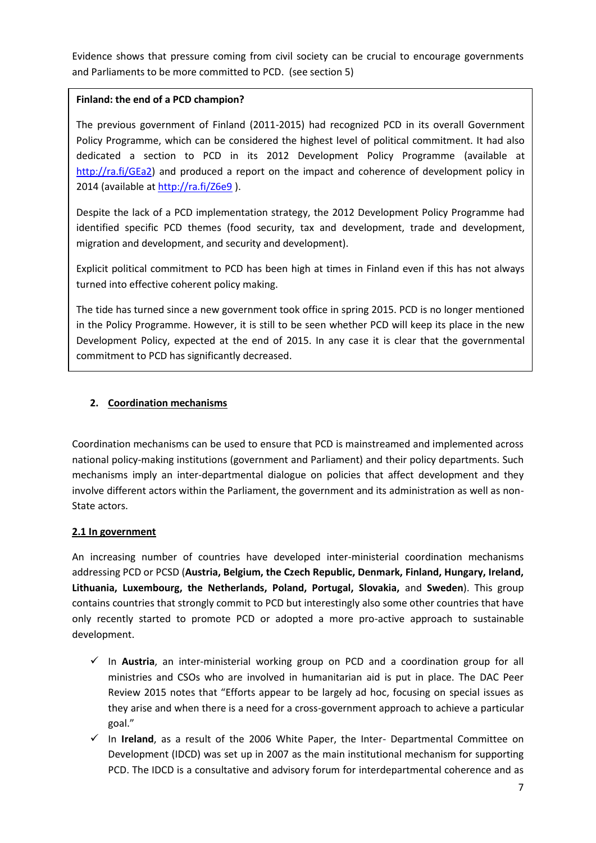Evidence shows that pressure coming from civil society can be crucial to encourage governments and Parliaments to be more committed to PCD. (see section 5)

## **Finland: the end of a PCD champion?**

The previous government of Finland (2011-2015) had recognized PCD in its overall Government Policy Programme, which can be considered the highest level of political commitment. It had also dedicated a section to PCD in its 2012 Development Policy Programme (available at [http://ra.fi/GEa2\)](http://ra.fi/GEa2) and produced a report on the impact and coherence of development policy in 2014 (available at<http://ra.fi/Z6e9> ).

Despite the lack of a PCD implementation strategy, the 2012 Development Policy Programme had identified specific PCD themes (food security, tax and development, trade and development, migration and development, and security and development).

Explicit political commitment to PCD has been high at times in Finland even if this has not always turned into effective coherent policy making.

**2.** in the Policy Programme. However, it is still to be seen whether PCD will keep its place in the new **3.** commitment to PCD has significantly decreased.The tide has turned since a new government took office in spring 2015. PCD is no longer mentioned Development Policy, expected at the end of 2015. In any case it is clear that the governmental

## **2. Coordination mechanisms**

Coordination mechanisms can be used to ensure that PCD is mainstreamed and implemented across national policy-making institutions (government and Parliament) and their policy departments. Such mechanisms imply an inter-departmental dialogue on policies that affect development and they involve different actors within the Parliament, the government and its administration as well as non-State actors.

## **2.1 In government**

An increasing number of countries have developed inter-ministerial coordination mechanisms addressing PCD or PCSD (**Austria, Belgium, the Czech Republic, Denmark, Finland, Hungary, Ireland, Lithuania, Luxembourg, the Netherlands, Poland, Portugal, Slovakia,** and **Sweden**). This group contains countries that strongly commit to PCD but interestingly also some other countries that have only recently started to promote PCD or adopted a more pro-active approach to sustainable development.

- In **Austria**, an inter-ministerial working group on PCD and a coordination group for all ministries and CSOs who are involved in humanitarian aid is put in place. The DAC Peer Review 2015 notes that "Efforts appear to be largely ad hoc, focusing on special issues as they arise and when there is a need for a cross-government approach to achieve a particular goal."
- $\checkmark$  In **Ireland**, as a result of the 2006 White Paper, the Inter- Departmental Committee on Development (IDCD) was set up in 2007 as the main institutional mechanism for supporting PCD. The IDCD is a consultative and advisory forum for interdepartmental coherence and as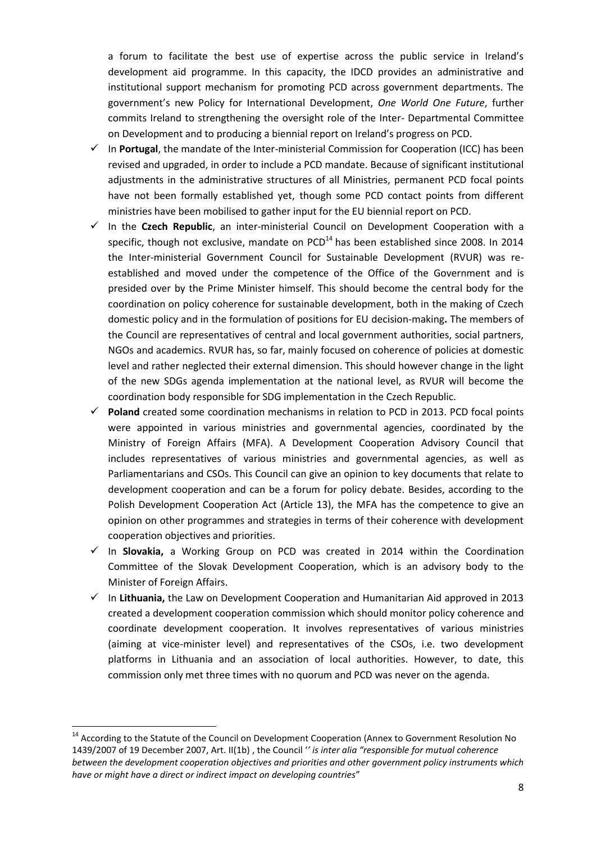a forum to facilitate the best use of expertise across the public service in Ireland's development aid programme. In this capacity, the IDCD provides an administrative and institutional support mechanism for promoting PCD across government departments. The government's new Policy for International Development, *One World One Future*, further commits Ireland to strengthening the oversight role of the Inter- Departmental Committee on Development and to producing a biennial report on Ireland's progress on PCD.

- $\checkmark$  In **Portugal**, the mandate of the Inter-ministerial Commission for Cooperation (ICC) has been revised and upgraded, in order to include a PCD mandate. Because of significant institutional adjustments in the administrative structures of all Ministries, permanent PCD focal points have not been formally established yet, though some PCD contact points from different ministries have been mobilised to gather input for the EU biennial report on PCD.
- $\checkmark$  In the **Czech Republic**, an inter-ministerial Council on Development Cooperation with a specific, though not exclusive, mandate on  $PCD<sup>14</sup>$  has been established since 2008. In 2014 the Inter-ministerial Government Council for Sustainable Development (RVUR) was reestablished and moved under the competence of the Office of the Government and is presided over by the Prime Minister himself. This should become the central body for the coordination on policy coherence for sustainable development, both in the making of Czech domestic policy and in the formulation of positions for EU decision-making**.** The members of the Council are representatives of central and local government authorities, social partners, NGOs and academics. RVUR has, so far, mainly focused on coherence of policies at domestic level and rather neglected their external dimension. This should however change in the light of the new SDGs agenda implementation at the national level, as RVUR will become the coordination body responsible for SDG implementation in the Czech Republic.
- **Poland** created some coordination mechanisms in relation to PCD in 2013. PCD focal points were appointed in various ministries and governmental agencies, coordinated by the Ministry of Foreign Affairs (MFA). A Development Cooperation Advisory Council that includes representatives of various ministries and governmental agencies, as well as Parliamentarians and CSOs. This Council can give an opinion to key documents that relate to development cooperation and can be a forum for policy debate. Besides, according to the Polish Development Cooperation Act (Article 13), the MFA has the competence to give an opinion on other programmes and strategies in terms of their coherence with development cooperation objectives and priorities.
- In **Slovakia,** a Working Group on PCD was created in 2014 within the Coordination Committee of the Slovak Development Cooperation, which is an advisory body to the Minister of Foreign Affairs.
- $\checkmark$  In Lithuania, the Law on Development Cooperation and Humanitarian Aid approved in 2013 created a development cooperation commission which should monitor policy coherence and coordinate development cooperation. It involves representatives of various ministries (aiming at vice-minister level) and representatives of the CSOs, i.e. two development platforms in Lithuania and an association of local authorities. However, to date, this commission only met three times with no quorum and PCD was never on the agenda.

**.** 

<sup>&</sup>lt;sup>14</sup> According to the Statute of the Council on Development Cooperation (Annex to Government Resolution No 1439/2007 of 19 December 2007, Art. II(1b) , the Council '*' is inter alia "responsible for mutual coherence between the development cooperation objectives and priorities and other government policy instruments which have or might have a direct or indirect impact on developing countries*"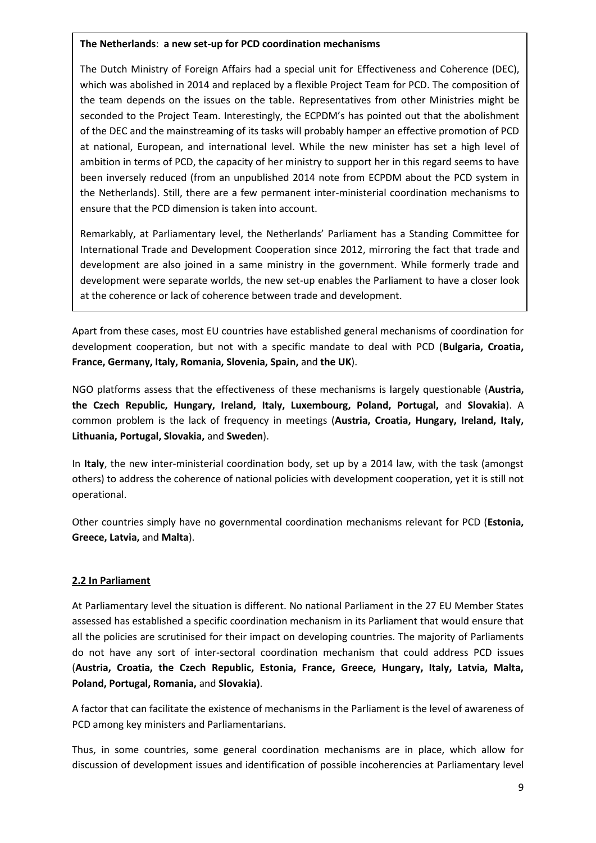#### **The Netherlands**: **a new set-up for PCD coordination mechanisms**

The Dutch Ministry of Foreign Affairs had a special unit for Effectiveness and Coherence (DEC), which was abolished in 2014 and replaced by a flexible Project Team for PCD. The composition of the team depends on the issues on the table. Representatives from other Ministries might be seconded to the Project Team. Interestingly, the ECPDM's has pointed out that the abolishment of the DEC and the mainstreaming of its tasks will probably hamper an effective promotion of PCD at national, European, and international level. While the new minister has set a high level of ambition in terms of PCD, the capacity of her ministry to support her in this regard seems to have been inversely reduced (from an unpublished 2014 note from ECPDM about the PCD system in the Netherlands). Still, there are a few permanent inter-ministerial coordination mechanisms to ensure that the PCD dimension is taken into account.

Remarkably, at Parliamentary level, the Netherlands' Parliament has a Standing Committee for International Trade and Development Cooperation since 2012, mirroring the fact that trade and development are also joined in a same ministry in the government. While formerly trade and development were separate worlds, the new set-up enables the Parliament to have a closer look at the coherence or lack of coherence between trade and development.

Apart from these cases, most EU countries have established general mechanisms of coordination for development cooperation, but not with a specific mandate to deal with PCD (**Bulgaria, Croatia, France, Germany, Italy, Romania, Slovenia, Spain,** and **the UK**).

NGO platforms assess that the effectiveness of these mechanisms is largely questionable (**Austria, the Czech Republic, Hungary, Ireland, Italy, Luxembourg, Poland, Portugal,** and **Slovakia**). A common problem is the lack of frequency in meetings (**Austria, Croatia, Hungary, Ireland, Italy, Lithuania, Portugal, Slovakia,** and **Sweden**).

In **Italy**, the new inter-ministerial coordination body, set up by a 2014 law, with the task (amongst others) to address the coherence of national policies with development cooperation, yet it is still not operational.

Other countries simply have no governmental coordination mechanisms relevant for PCD (**Estonia, Greece, Latvia,** and **Malta**).

## **2.2 In Parliament**

At Parliamentary level the situation is different. No national Parliament in the 27 EU Member States assessed has established a specific coordination mechanism in its Parliament that would ensure that all the policies are scrutinised for their impact on developing countries. The majority of Parliaments do not have any sort of inter-sectoral coordination mechanism that could address PCD issues (**Austria, Croatia, the Czech Republic, Estonia, France, Greece, Hungary, Italy, Latvia, Malta, Poland, Portugal, Romania,** and **Slovakia)**.

A factor that can facilitate the existence of mechanisms in the Parliament is the level of awareness of PCD among key ministers and Parliamentarians.

Thus, in some countries, some general coordination mechanisms are in place, which allow for discussion of development issues and identification of possible incoherencies at Parliamentary level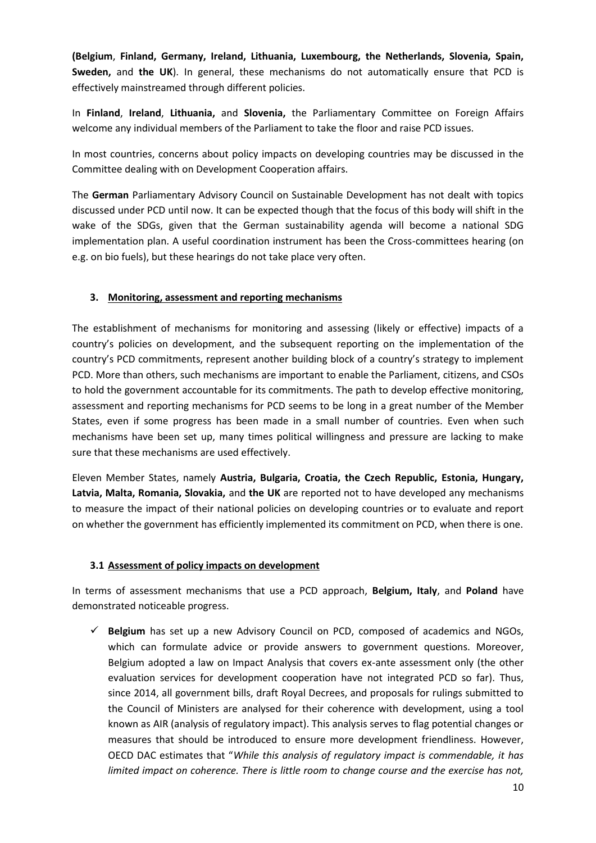**(Belgium**, **Finland, Germany, Ireland, Lithuania, Luxembourg, the Netherlands, Slovenia, Spain, Sweden,** and **the UK**). In general, these mechanisms do not automatically ensure that PCD is effectively mainstreamed through different policies.

In **Finland**, **Ireland**, **Lithuania,** and **Slovenia,** the Parliamentary Committee on Foreign Affairs welcome any individual members of the Parliament to take the floor and raise PCD issues.

In most countries, concerns about policy impacts on developing countries may be discussed in the Committee dealing with on Development Cooperation affairs.

The **German** Parliamentary Advisory Council on Sustainable Development has not dealt with topics discussed under PCD until now. It can be expected though that the focus of this body will shift in the wake of the SDGs, given that the German sustainability agenda will become a national SDG implementation plan. A useful coordination instrument has been the Cross-committees hearing (on e.g. on bio fuels), but these hearings do not take place very often.

## **3. Monitoring, assessment and reporting mechanisms**

The establishment of mechanisms for monitoring and assessing (likely or effective) impacts of a country's policies on development, and the subsequent reporting on the implementation of the country's PCD commitments, represent another building block of a country's strategy to implement PCD. More than others, such mechanisms are important to enable the Parliament, citizens, and CSOs to hold the government accountable for its commitments. The path to develop effective monitoring, assessment and reporting mechanisms for PCD seems to be long in a great number of the Member States, even if some progress has been made in a small number of countries. Even when such mechanisms have been set up, many times political willingness and pressure are lacking to make sure that these mechanisms are used effectively.

Eleven Member States, namely **Austria, Bulgaria, Croatia, the Czech Republic, Estonia, Hungary, Latvia, Malta, Romania, Slovakia,** and **the UK** are reported not to have developed any mechanisms to measure the impact of their national policies on developing countries or to evaluate and report on whether the government has efficiently implemented its commitment on PCD, when there is one.

## **3.1 Assessment of policy impacts on development**

In terms of assessment mechanisms that use a PCD approach, **Belgium, Italy**, and **Poland** have demonstrated noticeable progress.

 $\checkmark$  Belgium has set up a new Advisory Council on PCD, composed of academics and NGOs, which can formulate advice or provide answers to government questions. Moreover, Belgium adopted a law on Impact Analysis that covers ex-ante assessment only (the other evaluation services for development cooperation have not integrated PCD so far). Thus, since 2014, all government bills, draft Royal Decrees, and proposals for rulings submitted to the Council of Ministers are analysed for their coherence with development, using a tool known as AIR (analysis of regulatory impact). This analysis serves to flag potential changes or measures that should be introduced to ensure more development friendliness. However, OECD DAC estimates that "*While this analysis of regulatory impact is commendable, it has limited impact on coherence. There is little room to change course and the exercise has not,*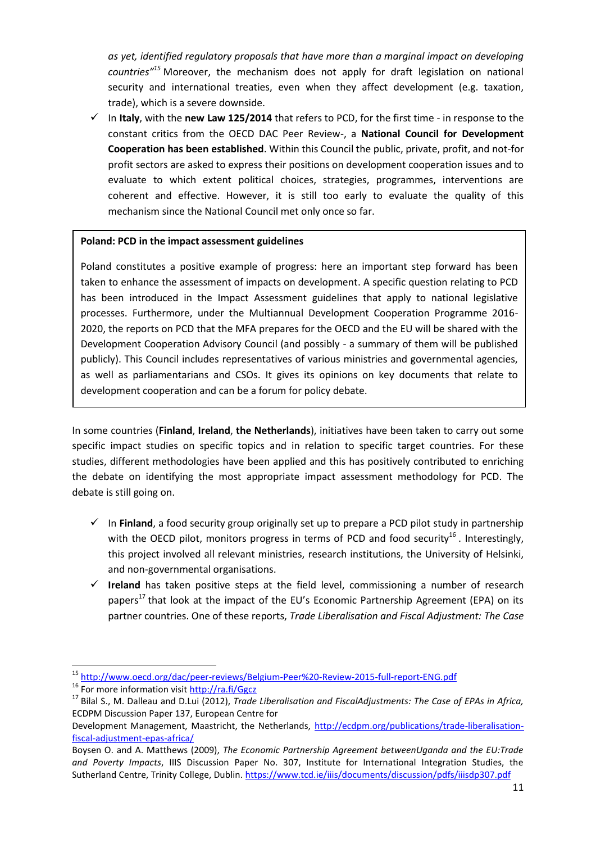*as yet, identified regulatory proposals that have more than a marginal impact on developing countries"<sup>15</sup>* Moreover, the mechanism does not apply for draft legislation on national security and international treaties, even when they affect development (e.g. taxation, trade), which is a severe downside.

 $\checkmark$  In **Italy**, with the **new Law 125/2014** that refers to PCD, for the first time - in response to the constant critics from the OECD DAC Peer Review-, a **National Council for Development Cooperation has been established**. Within this Council the public, private, profit, and not-for profit sectors are asked to express their positions on development cooperation issues and to evaluate to which extent political choices, strategies, programmes, interventions are coherent and effective. However, it is still too early to evaluate the quality of this mechanism since the National Council met only once so far.

#### **Poland: PCD in the impact assessment guidelines**

Poland constitutes a positive example of progress: here an important step forward has been taken to enhance the assessment of impacts on development. A specific question relating to PCD has been introduced in the Impact Assessment guidelines that apply to national legislative processes. Furthermore, under the Multiannual Development Cooperation Programme 2016- 2020, the reports on PCD that the MFA prepares for the OECD and the EU will be shared with the Development Cooperation Advisory Council (and possibly - a summary of them will be published publicly). This Council includes representatives of various ministries and governmental agencies, as well as parliamentarians and CSOs. It gives its opinions on key documents that relate to development cooperation and can be a forum for policy debate.

In some countries (**Finland**, **Ireland**, **the Netherlands**), initiatives have been taken to carry out some specific impact studies on specific topics and in relation to specific target countries. For these studies, different methodologies have been applied and this has positively contributed to enriching the debate on identifying the most appropriate impact assessment methodology for PCD. The debate is still going on.

- $\checkmark$  In **Finland**, a food security group originally set up to prepare a PCD pilot study in partnership with the OECD pilot, monitors progress in terms of PCD and food security<sup>16</sup>. Interestingly, this project involved all relevant ministries, research institutions, the University of Helsinki, and non-governmental organisations.
- $\checkmark$  Ireland has taken positive steps at the field level, commissioning a number of research papers<sup>17</sup> that look at the impact of the EU's Economic Partnership Agreement (EPA) on its partner countries. One of these reports, *Trade Liberalisation and Fiscal Adjustment: The Case*

1

<sup>&</sup>lt;sup>15</sup> <http://www.oecd.org/dac/peer-reviews/Belgium-Peer%20-Review-2015-full-report-ENG.pdf>

<sup>16</sup> For more information visi[t http://ra.fi/Ggcz](http://ra.fi/Ggcz) 

<sup>17</sup> Bilal S., M. Dalleau and D.Lui (2012), *Trade Liberalisation and FiscalAdjustments: The Case of EPAs in Africa,*  ECDPM Discussion Paper 137, European Centre for

Development Management, Maastricht, the Netherlands, [http://ecdpm.org/publications/trade-liberalisation](http://ecdpm.org/publications/trade-liberalisation-fiscal-adjustment-epas-africa/)[fiscal-adjustment-epas-africa/](http://ecdpm.org/publications/trade-liberalisation-fiscal-adjustment-epas-africa/)

Boysen O. and A. Matthews (2009), *The Economic Partnership Agreement betweenUganda and the EU:Trade and Poverty Impacts*, IIIS Discussion Paper No. 307, Institute for International Integration Studies, the Sutherland Centre, Trinity College, Dublin. <https://www.tcd.ie/iiis/documents/discussion/pdfs/iiisdp307.pdf>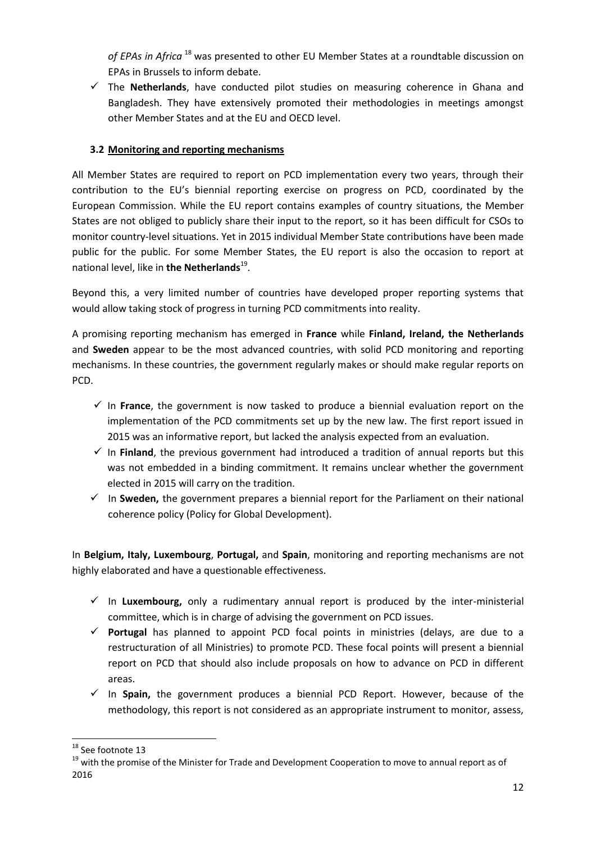*of EPAs in Africa* <sup>18</sup> was presented to other EU Member States at a roundtable discussion on EPAs in Brussels to inform debate.

 $\checkmark$  The **Netherlands**, have conducted pilot studies on measuring coherence in Ghana and Bangladesh. They have extensively promoted their methodologies in meetings amongst other Member States and at the EU and OECD level.

## **3.2 Monitoring and reporting mechanisms**

All Member States are required to report on PCD implementation every two years, through their contribution to the EU's biennial reporting exercise on progress on PCD, coordinated by the European Commission. While the EU report contains examples of country situations, the Member States are not obliged to publicly share their input to the report, so it has been difficult for CSOs to monitor country-level situations. Yet in 2015 individual Member State contributions have been made public for the public. For some Member States, the EU report is also the occasion to report at national level, like in **the Netherlands**<sup>19</sup>.

Beyond this, a very limited number of countries have developed proper reporting systems that would allow taking stock of progress in turning PCD commitments into reality.

A promising reporting mechanism has emerged in **France** while **Finland, Ireland, the Netherlands**  and **Sweden** appear to be the most advanced countries, with solid PCD monitoring and reporting mechanisms. In these countries, the government regularly makes or should make regular reports on PCD.

- $\checkmark$  In **France**, the government is now tasked to produce a biennial evaluation report on the implementation of the PCD commitments set up by the new law. The first report issued in 2015 was an informative report, but lacked the analysis expected from an evaluation.
- $\checkmark$  In **Finland**, the previous government had introduced a tradition of annual reports but this was not embedded in a binding commitment. It remains unclear whether the government elected in 2015 will carry on the tradition.
- $\checkmark$  In **Sweden,** the government prepares a biennial report for the Parliament on their national coherence policy (Policy for Global Development).

In **Belgium, Italy, Luxembourg**, **Portugal,** and **Spain**, monitoring and reporting mechanisms are not highly elaborated and have a questionable effectiveness.

- $\checkmark$  In **Luxembourg,** only a rudimentary annual report is produced by the inter-ministerial committee, which is in charge of advising the government on PCD issues.
- **Portugal** has planned to appoint PCD focal points in ministries (delays, are due to a restructuration of all Ministries) to promote PCD. These focal points will present a biennial report on PCD that should also include proposals on how to advance on PCD in different areas.
- $\checkmark$  In Spain, the government produces a biennial PCD Report. However, because of the methodology, this report is not considered as an appropriate instrument to monitor, assess,

**<sup>.</sup>** <sup>18</sup> See footnote 13

<sup>&</sup>lt;sup>19</sup> with the promise of the Minister for Trade and Development Cooperation to move to annual report as of 2016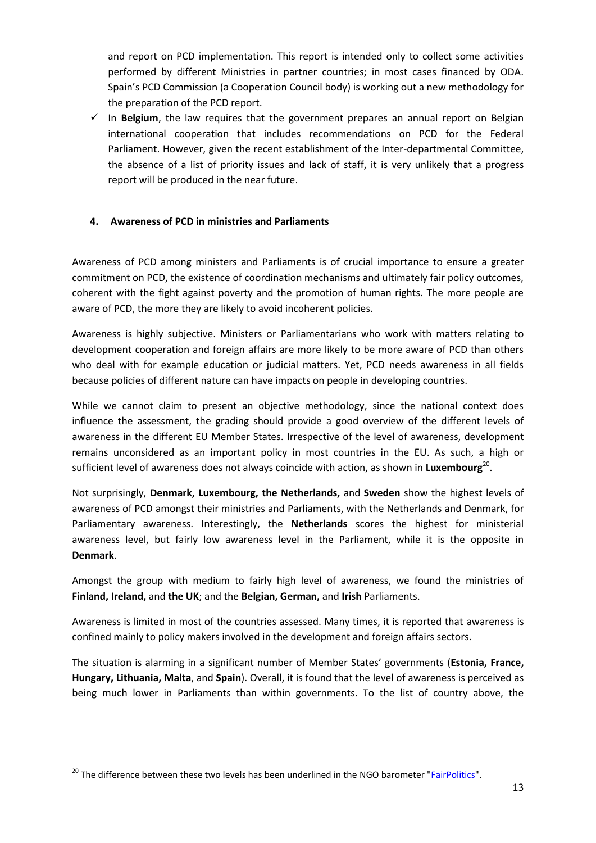and report on PCD implementation. This report is intended only to collect some activities performed by different Ministries in partner countries; in most cases financed by ODA. Spain's PCD Commission (a Cooperation Council body) is working out a new methodology for the preparation of the PCD report.

 $\checkmark$  In **Belgium**, the law requires that the government prepares an annual report on Belgian international cooperation that includes recommendations on PCD for the Federal Parliament. However, given the recent establishment of the Inter-departmental Committee, the absence of a list of priority issues and lack of staff, it is very unlikely that a progress report will be produced in the near future.

## **4. Awareness of PCD in ministries and Parliaments**

Awareness of PCD among ministers and Parliaments is of crucial importance to ensure a greater commitment on PCD, the existence of coordination mechanisms and ultimately fair policy outcomes, coherent with the fight against poverty and the promotion of human rights. The more people are aware of PCD, the more they are likely to avoid incoherent policies.

Awareness is highly subjective. Ministers or Parliamentarians who work with matters relating to development cooperation and foreign affairs are more likely to be more aware of PCD than others who deal with for example education or judicial matters. Yet, PCD needs awareness in all fields because policies of different nature can have impacts on people in developing countries.

While we cannot claim to present an objective methodology, since the national context does influence the assessment, the grading should provide a good overview of the different levels of awareness in the different EU Member States. Irrespective of the level of awareness, development remains unconsidered as an important policy in most countries in the EU. As such, a high or sufficient level of awareness does not always coincide with action, as shown in Luxembourg<sup>20</sup>.

Not surprisingly, **Denmark, Luxembourg, the Netherlands,** and **Sweden** show the highest levels of awareness of PCD amongst their ministries and Parliaments, with the Netherlands and Denmark, for Parliamentary awareness. Interestingly, the **Netherlands** scores the highest for ministerial awareness level, but fairly low awareness level in the Parliament, while it is the opposite in **Denmark**.

Amongst the group with medium to fairly high level of awareness, we found the ministries of **Finland, Ireland,** and **the UK**; and the **Belgian, German,** and **Irish** Parliaments.

Awareness is limited in most of the countries assessed. Many times, it is reported that awareness is confined mainly to policy makers involved in the development and foreign affairs sectors.

The situation is alarming in a significant number of Member States' governments (**Estonia, France, Hungary, Lithuania, Malta**, and **Spain**). Overall, it is found that the level of awareness is perceived as being much lower in Parliaments than within governments. To the list of country above, the

**<sup>.</sup>** <sup>20</sup> The difference between these two levels has been underlined in the NGO barometer "*FairPolitics*".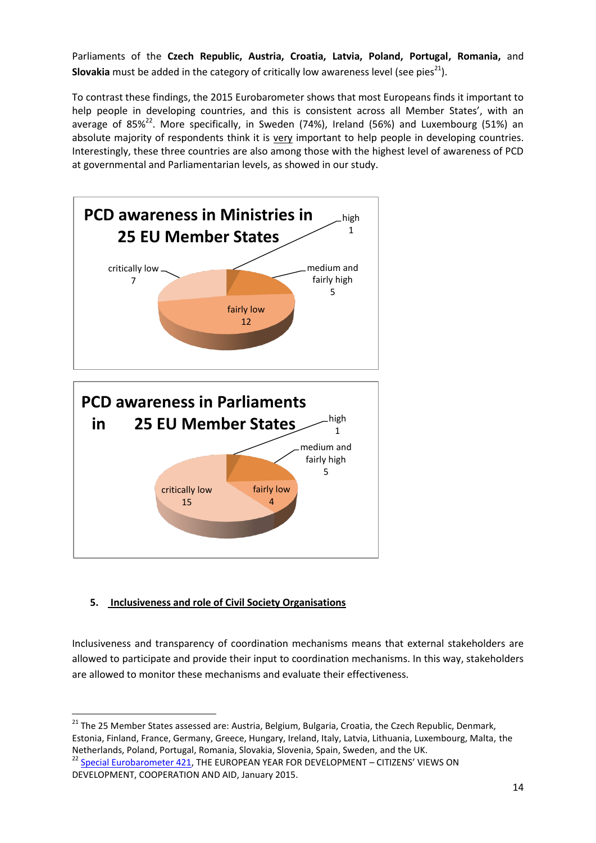Parliaments of the **Czech Republic, Austria, Croatia, Latvia, Poland, Portugal, Romania,** and **Slovakia** must be added in the category of critically low awareness level (see pies<sup>21</sup>).

To contrast these findings, the 2015 Eurobarometer shows that most Europeans finds it important to help people in developing countries, and this is consistent across all Member States', with an average of 85% $^{22}$ . More specifically, in Sweden (74%), Ireland (56%) and Luxembourg (51%) an absolute majority of respondents think it is very important to help people in developing countries. Interestingly, these three countries are also among those with the highest level of awareness of PCD at governmental and Parliamentarian levels, as showed in our study.



## **5. Inclusiveness and role of Civil Society Organisations**

Inclusiveness and transparency of coordination mechanisms means that external stakeholders are allowed to participate and provide their input to coordination mechanisms. In this way, stakeholders are allowed to monitor these mechanisms and evaluate their effectiveness.

**.** <sup>21</sup> The 25 Member States assessed are: Austria, Belgium, Bulgaria, Croatia, the Czech Republic, Denmark, Estonia, Finland, France, Germany, Greece, Hungary, Ireland, Italy, Latvia, Lithuania, Luxembourg, Malta, the Netherlands, Poland, Portugal, Romania, Slovakia, Slovenia, Spain, Sweden, and the UK.

 $^{22}$  [Special Eurobarometer 421,](http://ec.europa.eu/public_opinion/archives/ebs/ebs_421_sum_en.pdf) THE EUROPEAN YEAR FOR DEVELOPMENT - CITIZENS' VIEWS ON DEVELOPMENT, COOPERATION AND AID, January 2015.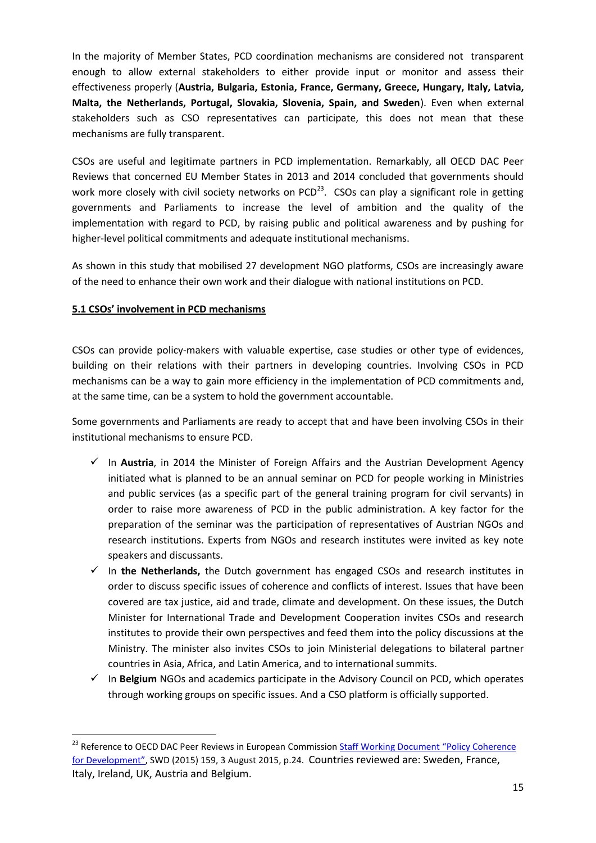In the majority of Member States, PCD coordination mechanisms are considered not transparent enough to allow external stakeholders to either provide input or monitor and assess their effectiveness properly (**Austria, Bulgaria, Estonia, France, Germany, Greece, Hungary, Italy, Latvia, Malta, the Netherlands, Portugal, Slovakia, Slovenia, Spain, and Sweden**). Even when external stakeholders such as CSO representatives can participate, this does not mean that these mechanisms are fully transparent.

CSOs are useful and legitimate partners in PCD implementation. Remarkably, all OECD DAC Peer Reviews that concerned EU Member States in 2013 and 2014 concluded that governments should work more closely with civil society networks on PCD<sup>23</sup>. CSOs can play a significant role in getting governments and Parliaments to increase the level of ambition and the quality of the implementation with regard to PCD, by raising public and political awareness and by pushing for higher-level political commitments and adequate institutional mechanisms.

As shown in this study that mobilised 27 development NGO platforms, CSOs are increasingly aware of the need to enhance their own work and their dialogue with national institutions on PCD.

## **5.1 CSOs' involvement in PCD mechanisms**

**.** 

CSOs can provide policy-makers with valuable expertise, case studies or other type of evidences, building on their relations with their partners in developing countries. Involving CSOs in PCD mechanisms can be a way to gain more efficiency in the implementation of PCD commitments and, at the same time, can be a system to hold the government accountable.

Some governments and Parliaments are ready to accept that and have been involving CSOs in their institutional mechanisms to ensure PCD.

- $\checkmark$  In **Austria**, in 2014 the Minister of Foreign Affairs and the Austrian Development Agency initiated what is planned to be an annual seminar on PCD for people working in Ministries and public services (as a specific part of the general training program for civil servants) in order to raise more awareness of PCD in the public administration. A key factor for the preparation of the seminar was the participation of representatives of Austrian NGOs and research institutions. Experts from NGOs and research institutes were invited as key note speakers and discussants.
- In **the Netherlands,** the Dutch government has engaged CSOs and research institutes in order to discuss specific issues of coherence and conflicts of interest. Issues that have been covered are tax justice, aid and trade, climate and development. On these issues, the Dutch Minister for International Trade and Development Cooperation invites CSOs and research institutes to provide their own perspectives and feed them into the policy discussions at the Ministry. The minister also invites CSOs to join Ministerial delegations to bilateral partner countries in Asia, Africa, and Latin America, and to international summits.
- $\checkmark$  In **Belgium** NGOs and academics participate in the Advisory Council on PCD, which operates through working groups on specific issues. And a CSO platform is officially supported.

<sup>&</sup>lt;sup>23</sup> Reference to OECD DAC Peer Reviews in European Commission Staff Working Document "Policy Coherence [for Development"](https://ec.europa.eu/europeaid/sites/devco/files/policy-coherence-for-development-2015-eu-report_en.pdf), SWD (2015) 159, 3 August 2015, p.24. Countries reviewed are: Sweden, France, Italy, Ireland, UK, Austria and Belgium.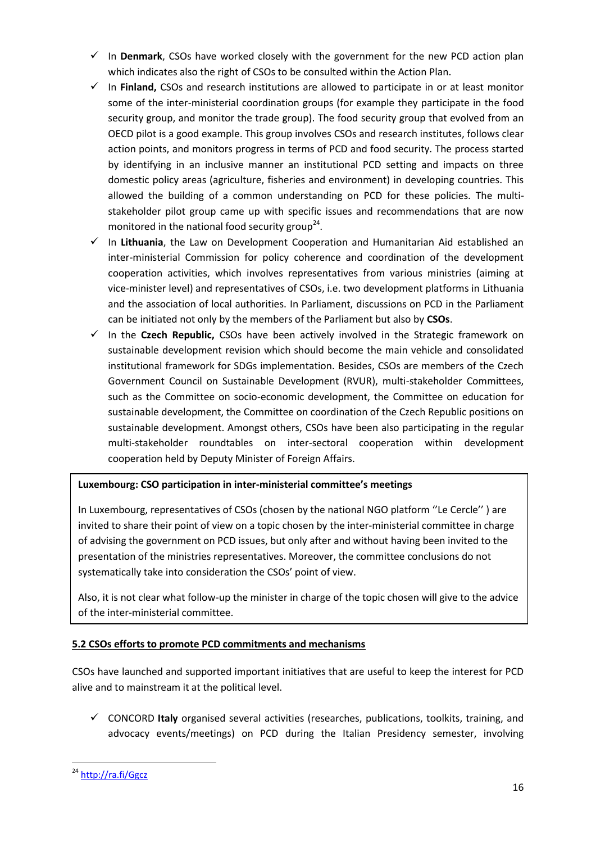- $\checkmark$  In **Denmark**, CSOs have worked closely with the government for the new PCD action plan which indicates also the right of CSOs to be consulted within the Action Plan.
- $\checkmark$  In **Finland,** CSOs and research institutions are allowed to participate in or at least monitor some of the inter-ministerial coordination groups (for example they participate in the food security group, and monitor the trade group). The food security group that evolved from an OECD pilot is a good example. This group involves CSOs and research institutes, follows clear action points, and monitors progress in terms of PCD and food security. The process started by identifying in an inclusive manner an institutional PCD setting and impacts on three domestic policy areas (agriculture, fisheries and environment) in developing countries. This allowed the building of a common understanding on PCD for these policies. The multistakeholder pilot group came up with specific issues and recommendations that are now monitored in the national food security group<sup>24</sup>.
- $\checkmark$  In Lithuania, the Law on Development Cooperation and Humanitarian Aid established an inter-ministerial Commission for policy coherence and coordination of the development cooperation activities, which involves representatives from various ministries (aiming at vice-minister level) and representatives of CSOs, i.e. two development platforms in Lithuania and the association of local authorities. In Parliament, discussions on PCD in the Parliament can be initiated not only by the members of the Parliament but also by **CSOs**.
- In the **Czech Republic,** CSOs have been actively involved in the Strategic framework on sustainable development revision which should become the main vehicle and consolidated institutional framework for SDGs implementation. Besides, CSOs are members of the Czech Government Council on Sustainable Development (RVUR), multi-stakeholder Committees, such as the Committee on socio-economic development, the Committee on education for sustainable development, the Committee on coordination of the Czech Republic positions on sustainable development. Amongst others, CSOs have been also participating in the regular multi-stakeholder roundtables on inter-sectoral cooperation within development cooperation held by Deputy Minister of Foreign Affairs.

## **Luxembourg: CSO participation in inter-ministerial committee's meetings**

In Luxembourg, representatives of CSOs (chosen by the national NGO platform "Le Cercle") are invited to share their point of view on a topic chosen by the inter-ministerial committee in charge of advising the government on PCD issues, but only after and without having been invited to the presentation of the ministries representatives. Moreover, the committee conclusions do not systematically take into consideration the CSOs' point of view.

Also, it is not clear what follow-up the minister in charge of the topic chosen will give to the advice of the inter-ministerial committee.

## **5.2 CSOs efforts to promote PCD commitments and mechanisms**

CSOs have launched and supported important initiatives that are useful to keep the interest for PCD alive and to mainstream it at the political level.

 CONCORD **Italy** organised several activities (researches, publications, toolkits, training, and advocacy events/meetings) on PCD during the Italian Presidency semester, involving

**<sup>.</sup>** <sup>24</sup> <http://ra.fi/Ggcz>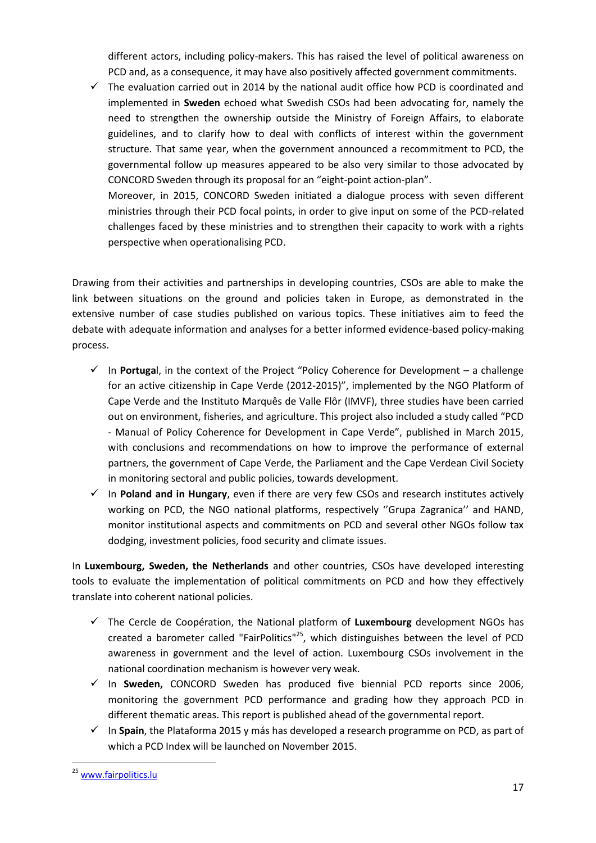different actors, including policy-makers. This has raised the level of political awareness on PCD and, as a consequence, it may have also positively affected government commitments.

 $\checkmark$  The evaluation carried out in 2014 by the national audit office how PCD is coordinated and implemented in **Sweden** echoed what Swedish CSOs had been advocating for, namely the need to strengthen the ownership outside the Ministry of Foreign Affairs, to elaborate guidelines, and to clarify how to deal with conflicts of interest within the government structure. That same year, when the government announced a recommitment to PCD, the governmental follow up measures appeared to be also very similar to those advocated by CONCORD Sweden through its proposal for an "eight-point action-plan".

Moreover, in 2015, CONCORD Sweden initiated a dialogue process with seven different ministries through their PCD focal points, in order to give input on some of the PCD-related challenges faced by these ministries and to strengthen their capacity to work with a rights perspective when operationalising PCD.

Drawing from their activities and partnerships in developing countries, CSOs are able to make the link between situations on the ground and policies taken in Europe, as demonstrated in the extensive number of case studies published on various topics. These initiatives aim to feed the debate with adequate information and analyses for a better informed evidence-based policy-making process.

- $\checkmark$  In **Portuga**l, in the context of the Project "Policy Coherence for Development a challenge for an active citizenship in Cape Verde (2012-2015)", implemented by the NGO Platform of Cape Verde and the Instituto Marquês de Valle Flôr (IMVF), three studies have been carried out on environment, fisheries, and agriculture. This project also included a study called "PCD - Manual of Policy Coherence for Development in Cape Verde", published in March 2015, with conclusions and recommendations on how to improve the performance of external partners, the government of Cape Verde, the Parliament and the Cape Verdean Civil Society in monitoring sectoral and public policies, towards development.
- $\checkmark$  In **Poland and in Hungary**, even if there are very few CSOs and research institutes actively working on PCD, the NGO national platforms, respectively ''Grupa Zagranica'' and HAND, monitor institutional aspects and commitments on PCD and several other NGOs follow tax dodging, investment policies, food security and climate issues.

In **Luxembourg, Sweden, the Netherlands** and other countries, CSOs have developed interesting tools to evaluate the implementation of political commitments on PCD and how they effectively translate into coherent national policies.

- $\checkmark$  The Cercle de Coopération, the National platform of **Luxembourg** development NGOs has created a barometer called "FairPolitics"<sup>25</sup>, which distinguishes between the level of PCD awareness in government and the level of action. Luxembourg CSOs involvement in the national coordination mechanism is however very weak.
- In **Sweden,** CONCORD Sweden has produced five biennial PCD reports since 2006, monitoring the government PCD performance and grading how they approach PCD in different thematic areas. This report is published ahead of the governmental report.
- In **Spain**, the Plataforma 2015 y más has developed a research programme on PCD, as part of which a PCD Index will be launched on November 2015.

**<sup>.</sup>** <sup>25</sup> [www.fairpolitics.lu](http://www.fairpolitics.lu/)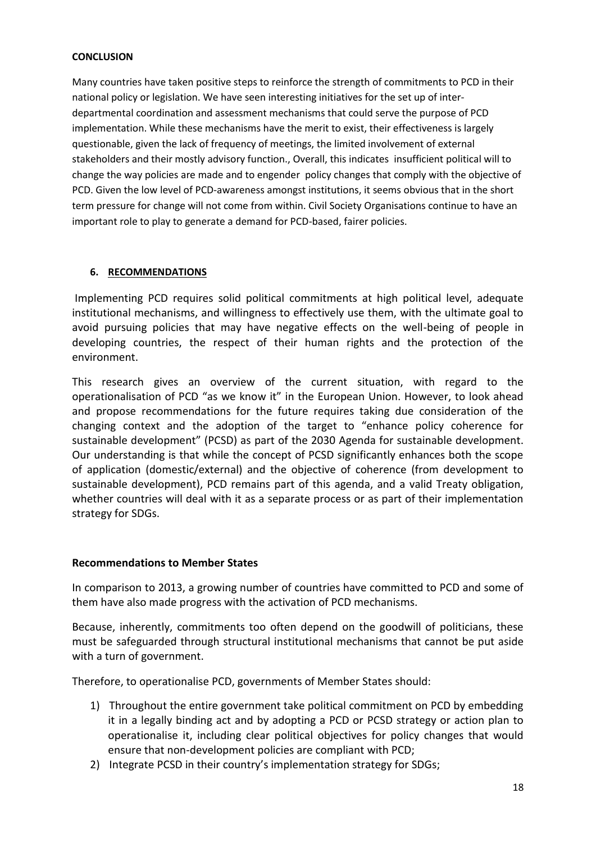#### **CONCLUSION**

Many countries have taken positive steps to reinforce the strength of commitments to PCD in their national policy or legislation. We have seen interesting initiatives for the set up of interdepartmental coordination and assessment mechanisms that could serve the purpose of PCD implementation. While these mechanisms have the merit to exist, their effectiveness is largely questionable, given the lack of frequency of meetings, the limited involvement of external stakeholders and their mostly advisory function., Overall, this indicates insufficient political will to change the way policies are made and to engender policy changes that comply with the objective of PCD. Given the low level of PCD-awareness amongst institutions, it seems obvious that in the short term pressure for change will not come from within. Civil Society Organisations continue to have an important role to play to generate a demand for PCD-based, fairer policies.

## **6. RECOMMENDATIONS**

Implementing PCD requires solid political commitments at high political level, adequate institutional mechanisms, and willingness to effectively use them, with the ultimate goal to avoid pursuing policies that may have negative effects on the well-being of people in developing countries, the respect of their human rights and the protection of the environment.

This research gives an overview of the current situation, with regard to the operationalisation of PCD "as we know it" in the European Union. However, to look ahead and propose recommendations for the future requires taking due consideration of the changing context and the adoption of the target to "enhance policy coherence for sustainable development" (PCSD) as part of the 2030 Agenda for sustainable development. Our understanding is that while the concept of PCSD significantly enhances both the scope of application (domestic/external) and the objective of coherence (from development to sustainable development), PCD remains part of this agenda, and a valid Treaty obligation, whether countries will deal with it as a separate process or as part of their implementation strategy for SDGs.

## **Recommendations to Member States**

In comparison to 2013, a growing number of countries have committed to PCD and some of them have also made progress with the activation of PCD mechanisms.

Because, inherently, commitments too often depend on the goodwill of politicians, these must be safeguarded through structural institutional mechanisms that cannot be put aside with a turn of government.

Therefore, to operationalise PCD, governments of Member States should:

- 1) Throughout the entire government take political commitment on PCD by embedding it in a legally binding act and by adopting a PCD or PCSD strategy or action plan to operationalise it, including clear political objectives for policy changes that would ensure that non-development policies are compliant with PCD;
- 2) Integrate PCSD in their country's implementation strategy for SDGs;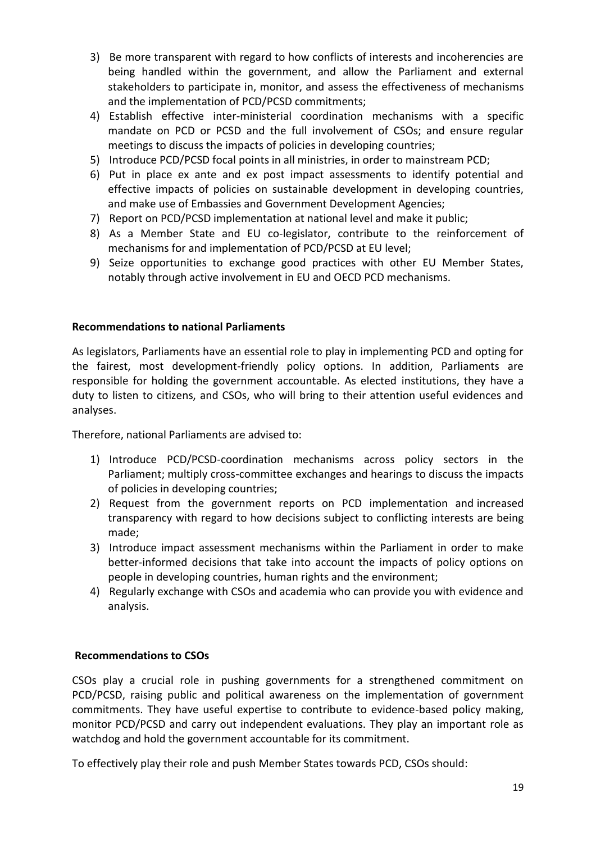- 3) Be more transparent with regard to how conflicts of interests and incoherencies are being handled within the government, and allow the Parliament and external stakeholders to participate in, monitor, and assess the effectiveness of mechanisms and the implementation of PCD/PCSD commitments;
- 4) Establish effective inter-ministerial coordination mechanisms with a specific mandate on PCD or PCSD and the full involvement of CSOs; and ensure regular meetings to discuss the impacts of policies in developing countries;
- 5) Introduce PCD/PCSD focal points in all ministries, in order to mainstream PCD;
- 6) Put in place ex ante and ex post impact assessments to identify potential and effective impacts of policies on sustainable development in developing countries, and make use of Embassies and Government Development Agencies;
- 7) Report on PCD/PCSD implementation at national level and make it public;
- 8) As a Member State and EU co-legislator, contribute to the reinforcement of mechanisms for and implementation of PCD/PCSD at EU level;
- 9) Seize opportunities to exchange good practices with other EU Member States, notably through active involvement in EU and OECD PCD mechanisms.

## **Recommendations to national Parliaments**

As legislators, Parliaments have an essential role to play in implementing PCD and opting for the fairest, most development-friendly policy options. In addition, Parliaments are responsible for holding the government accountable. As elected institutions, they have a duty to listen to citizens, and CSOs, who will bring to their attention useful evidences and analyses.

Therefore, national Parliaments are advised to:

- 1) Introduce PCD/PCSD-coordination mechanisms across policy sectors in the Parliament; multiply cross-committee exchanges and hearings to discuss the impacts of policies in developing countries;
- 2) Request from the government reports on PCD implementation and increased transparency with regard to how decisions subject to conflicting interests are being made;
- 3) Introduce impact assessment mechanisms within the Parliament in order to make better-informed decisions that take into account the impacts of policy options on people in developing countries, human rights and the environment;
- 4) Regularly exchange with CSOs and academia who can provide you with evidence and analysis.

## **Recommendations to CSOs**

CSOs play a crucial role in pushing governments for a strengthened commitment on PCD/PCSD, raising public and political awareness on the implementation of government commitments. They have useful expertise to contribute to evidence-based policy making, monitor PCD/PCSD and carry out independent evaluations. They play an important role as watchdog and hold the government accountable for its commitment.

To effectively play their role and push Member States towards PCD, CSOs should: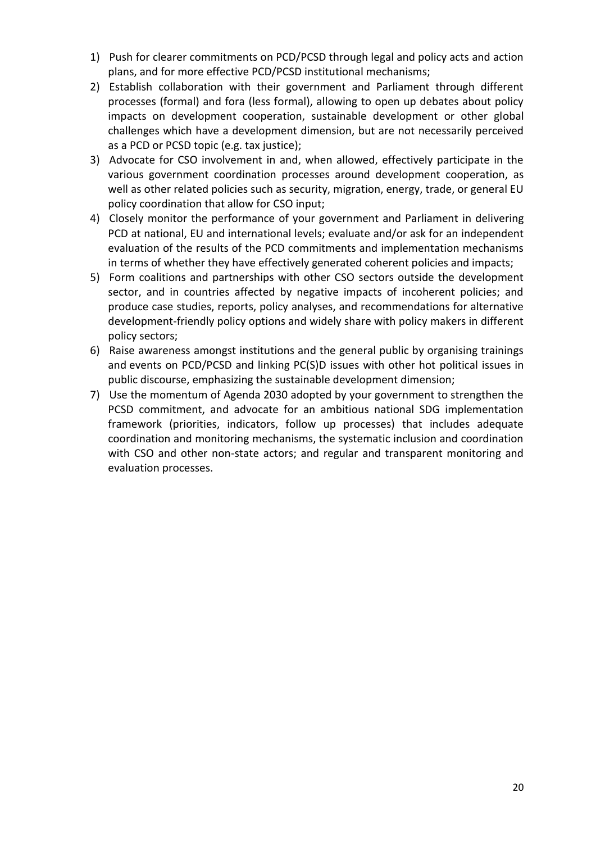- 1) Push for clearer commitments on PCD/PCSD through legal and policy acts and action plans, and for more effective PCD/PCSD institutional mechanisms;
- 2) Establish collaboration with their government and Parliament through different processes (formal) and fora (less formal), allowing to open up debates about policy impacts on development cooperation, sustainable development or other global challenges which have a development dimension, but are not necessarily perceived as a PCD or PCSD topic (e.g. tax justice);
- 3) Advocate for CSO involvement in and, when allowed, effectively participate in the various government coordination processes around development cooperation, as well as other related policies such as security, migration, energy, trade, or general EU policy coordination that allow for CSO input;
- 4) Closely monitor the performance of your government and Parliament in delivering PCD at national, EU and international levels; evaluate and/or ask for an independent evaluation of the results of the PCD commitments and implementation mechanisms in terms of whether they have effectively generated coherent policies and impacts;
- 5) Form coalitions and partnerships with other CSO sectors outside the development sector, and in countries affected by negative impacts of incoherent policies; and produce case studies, reports, policy analyses, and recommendations for alternative development-friendly policy options and widely share with policy makers in different policy sectors;
- 6) Raise awareness amongst institutions and the general public by organising trainings and events on PCD/PCSD and linking PC(S)D issues with other hot political issues in public discourse, emphasizing the sustainable development dimension;
- 7) Use the momentum of Agenda 2030 adopted by your government to strengthen the PCSD commitment, and advocate for an ambitious national SDG implementation framework (priorities, indicators, follow up processes) that includes adequate coordination and monitoring mechanisms, the systematic inclusion and coordination with CSO and other non-state actors; and regular and transparent monitoring and evaluation processes.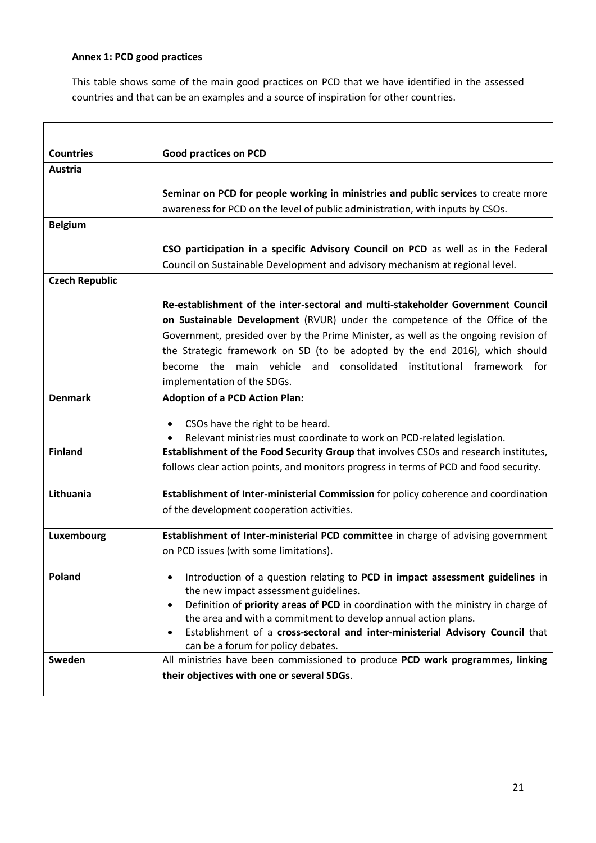## **Annex 1: PCD good practices**

This table shows some of the main good practices on PCD that we have identified in the assessed countries and that can be an examples and a source of inspiration for other countries.

| <b>Countries</b>      | <b>Good practices on PCD</b>                                                                                                             |  |  |  |  |
|-----------------------|------------------------------------------------------------------------------------------------------------------------------------------|--|--|--|--|
| Austria               |                                                                                                                                          |  |  |  |  |
|                       | Seminar on PCD for people working in ministries and public services to create more                                                       |  |  |  |  |
|                       | awareness for PCD on the level of public administration, with inputs by CSOs.                                                            |  |  |  |  |
| <b>Belgium</b>        |                                                                                                                                          |  |  |  |  |
|                       | CSO participation in a specific Advisory Council on PCD as well as in the Federal                                                        |  |  |  |  |
|                       | Council on Sustainable Development and advisory mechanism at regional level.                                                             |  |  |  |  |
| <b>Czech Republic</b> |                                                                                                                                          |  |  |  |  |
|                       | Re-establishment of the inter-sectoral and multi-stakeholder Government Council                                                          |  |  |  |  |
|                       | on Sustainable Development (RVUR) under the competence of the Office of the                                                              |  |  |  |  |
|                       | Government, presided over by the Prime Minister, as well as the ongoing revision of                                                      |  |  |  |  |
|                       | the Strategic framework on SD (to be adopted by the end 2016), which should                                                              |  |  |  |  |
|                       | consolidated<br>become the main vehicle and<br>institutional framework for                                                               |  |  |  |  |
|                       | implementation of the SDGs.                                                                                                              |  |  |  |  |
| <b>Denmark</b>        | <b>Adoption of a PCD Action Plan:</b>                                                                                                    |  |  |  |  |
|                       | CSOs have the right to be heard.                                                                                                         |  |  |  |  |
|                       | Relevant ministries must coordinate to work on PCD-related legislation.                                                                  |  |  |  |  |
| <b>Finland</b>        | Establishment of the Food Security Group that involves CSOs and research institutes,                                                     |  |  |  |  |
|                       | follows clear action points, and monitors progress in terms of PCD and food security.                                                    |  |  |  |  |
| Lithuania             | Establishment of Inter-ministerial Commission for policy coherence and coordination                                                      |  |  |  |  |
|                       | of the development cooperation activities.                                                                                               |  |  |  |  |
| Luxembourg            | Establishment of Inter-ministerial PCD committee in charge of advising government                                                        |  |  |  |  |
|                       | on PCD issues (with some limitations).                                                                                                   |  |  |  |  |
|                       |                                                                                                                                          |  |  |  |  |
| Poland                | Introduction of a question relating to PCD in impact assessment guidelines in                                                            |  |  |  |  |
|                       | the new impact assessment guidelines.<br>Definition of priority areas of PCD in coordination with the ministry in charge of<br>$\bullet$ |  |  |  |  |
|                       | the area and with a commitment to develop annual action plans.                                                                           |  |  |  |  |
|                       | Establishment of a cross-sectoral and inter-ministerial Advisory Council that                                                            |  |  |  |  |
|                       | can be a forum for policy debates.                                                                                                       |  |  |  |  |
| Sweden                | All ministries have been commissioned to produce PCD work programmes, linking                                                            |  |  |  |  |
|                       | their objectives with one or several SDGs.                                                                                               |  |  |  |  |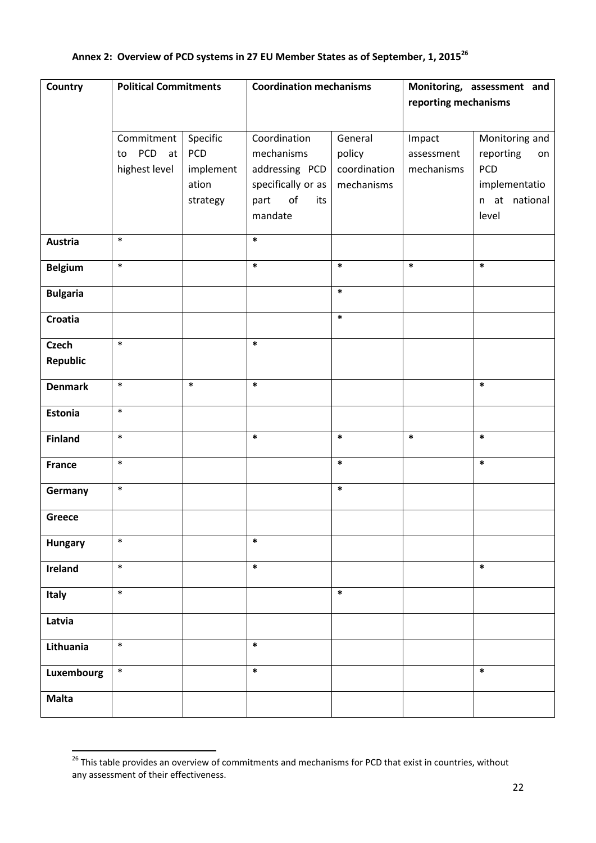# **Annex 2: Overview of PCD systems in 27 EU Member States as of September, 1, 2015<sup>26</sup>**

| Country         | <b>Political Commitments</b>        |           | <b>Coordination mechanisms</b> |              | Monitoring, assessment and |                 |
|-----------------|-------------------------------------|-----------|--------------------------------|--------------|----------------------------|-----------------|
|                 |                                     |           |                                |              | reporting mechanisms       |                 |
|                 |                                     |           |                                |              |                            |                 |
|                 | Commitment                          | Specific  | Coordination                   | General      | Impact                     | Monitoring and  |
|                 | <b>PCD</b><br>at <sub>l</sub><br>to | PCD       | mechanisms                     | policy       | assessment                 | reporting<br>on |
|                 | highest level                       | implement | addressing PCD                 | coordination | mechanisms                 | PCD             |
|                 |                                     | ation     | specifically or as             | mechanisms   |                            | implementatio   |
|                 |                                     | strategy  | of<br>part<br>its              |              |                            | n at national   |
|                 |                                     |           | mandate                        |              |                            | level           |
|                 |                                     |           |                                |              |                            |                 |
| Austria         | $\ast$                              |           | $\ast$                         |              |                            |                 |
| <b>Belgium</b>  | $\ast$                              |           | $\ast$                         | $\ast$       | $\ast$                     | $\ast$          |
|                 |                                     |           |                                | $\ast$       |                            |                 |
| <b>Bulgaria</b> |                                     |           |                                |              |                            |                 |
| Croatia         |                                     |           |                                | $\ast$       |                            |                 |
| <b>Czech</b>    | $\ast$                              |           | $\ast$                         |              |                            |                 |
| <b>Republic</b> |                                     |           |                                |              |                            |                 |
|                 |                                     |           |                                |              |                            |                 |
| <b>Denmark</b>  | $\ast$                              | $\ast$    | $\ast$                         |              |                            | $\ast$          |
| Estonia         | $\ast$                              |           |                                |              |                            |                 |
| <b>Finland</b>  | $\ast$                              |           | $\ast$                         | $\ast$       | $\ast$                     | $\ast$          |
| <b>France</b>   | $\ast$                              |           |                                | $\ast$       |                            | $\ast$          |
|                 |                                     |           |                                |              |                            |                 |
| Germany         | $\ast$                              |           |                                | $\ast$       |                            |                 |
| Greece          |                                     |           |                                |              |                            |                 |
|                 | $\ast$                              |           | $\ast$                         |              |                            |                 |
| <b>Hungary</b>  |                                     |           |                                |              |                            |                 |
| Ireland         | $\ast$                              |           | $\ast$                         |              |                            | $\ast$          |
| Italy           | $\ast$                              |           |                                | $\ast$       |                            |                 |
| Latvia          |                                     |           |                                |              |                            |                 |
| Lithuania       | $\ast$                              |           | $\ast$                         |              |                            |                 |
| Luxembourg      | $\ast$                              |           | $\ast$                         |              |                            | $\ast$          |
| <b>Malta</b>    |                                     |           |                                |              |                            |                 |

<sup>&</sup>lt;sup>26</sup> This table provides an overview of commitments and mechanisms for PCD that exist in countries, without any assessment of their effectiveness.

1